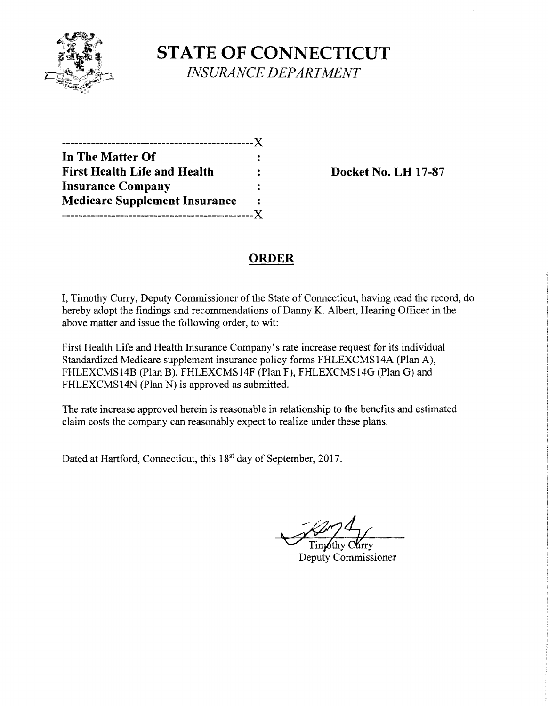

**STATE OF CONNECTICUT** *INSURANCE DEPARTMENT* 

| ---------------------X               |      |
|--------------------------------------|------|
| In The Matter Of                     |      |
| <b>First Health Life and Health</b>  |      |
| <b>Insurance Company</b>             |      |
| <b>Medicare Supplement Insurance</b> | 2    |
| -----------                          | $-X$ |

**Docket No. LH 17-87** 

# **ORDER**

I, Timothy Curry, Deputy Commissioner of the State of Connecticut, having read the record, do hereby adopt the findings and recommendations of Danny K. Albert, Hearing Officer in the above matter and issue the following order, to wit:

First Health Life and Health Insurance Company's rate increase request for its individual Standardized Medicare supplement insurance policy forms FHLEXCMS14A (Plan A), FHLEXCMS14B (Plan B), FHLEXCMS14F (Plan F), FHLEXCMS14G (Plan G) and FHLEXCMS14N (Plan N) is approved as submitted.

The rate increase approved herein is reasonable in relationship to the benefits and estimated claim costs the company can reasonably expect to realize under these plans.

Dated at Hartford, Connecticut, this 18<sup>st</sup> day of September, 2017.

Deputy Commissioner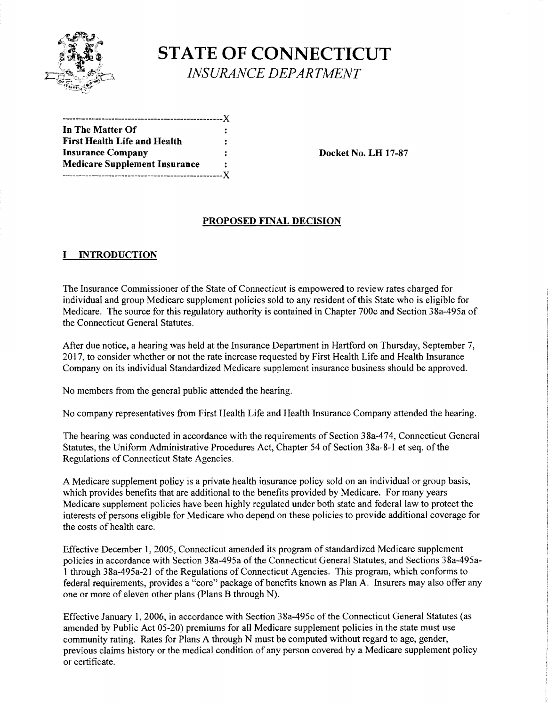

**STATE OF CONNECTICUT** *INSURANCE DEPARTMENT* 

| In The Matter Of                     | : |
|--------------------------------------|---|
| <b>First Health Life and Health</b>  | : |
| <b>Insurance Company</b>             | ÷ |
| <b>Medicare Supplement Insurance</b> |   |
|                                      |   |

**Insurance Company Docket No. LB 17-87** 

### **PROPOSED FINAL DECISION**

### I **INTRODUCTION**

The Insurance Commissioner of the State of Connecticut is empowered to review rates charged for individual and group Medicare supplement policies sold to any resident of this State who is eligible for Medicare. The source for this regulatory authority is contained in Chapter 700c and Section 38a-495a of the Connecticut General Statutes.

After due notice, a hearing was held at the Insurance Department in Hartford on Thursday, September 7, 2017, to consider whether or not the rate increase requested by First Health Life and Health Insurance Company on its individual Standardized Medicare supplement insurance business should be approved.

No members from the general public attended the hearing.

No company representatives from First Health Life and Health Insurance Company attended the hearing.

The hearing was conducted in accordance with the requirements of Section 38a-474, Connecticut General Statutes, the Uniform Administrative Procedures Act, Chapter 54 of Section 38a-8-1 et seq. of the Regulations of Connecticut State Agencies.

A Medicare supplement policy is a private health insurance policy sold on an individual or group basis, which provides benefits that are additional to the benefits provided by Medicare. For many years Medicare supplement policies have been highly regulated under both state and federal law to protect the interests of persons eligible for Medicare who depend on these policies to provide additional coverage for the costs of health care.

Effective December I, 2005, Connecticut amended its program of standardized Medicare supplement policies in accordance with Section 38a-495a of the Connecticut General Statutes, and Sections 38a-495al through 38a-495a-21 ofthe Regulations of Connecticut Agencies. This program, which conforms to federal requirements, provides a "core" package of benefits known as Plan A. Insurers may also offer any one or more of eleven other plans (Plans B through N).

Effective January 1, 2006, **in** accordance with Section 38a-495c of the Connecticut General Statutes (as amended by Public Act 05-20) premiums for all Medicare supplement policies in the state must use community rating. Rates for Plans A through N must be computed without regard to age, gender, previous claims history or the medical condition of any person covered by a Medicare supplement policy or certificate.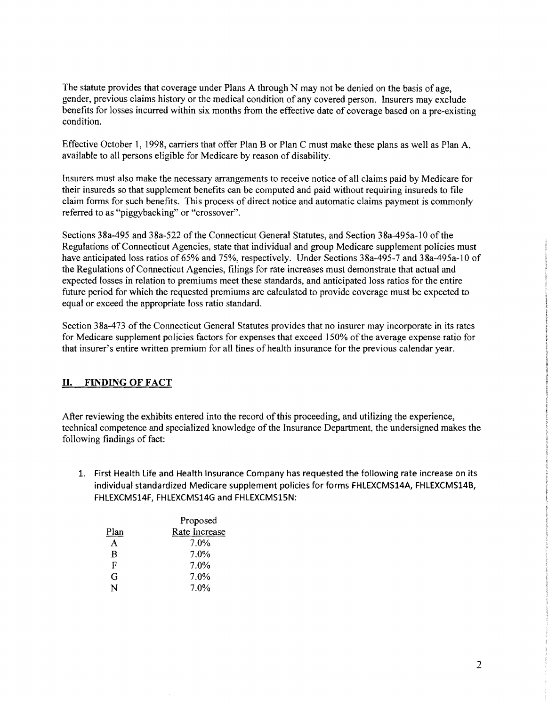The statute provides that coverage under Plans A through N may not be denied on the basis of age, gender, previous claims history or the medical condition of any covered person. Insurers may exclude benefits for losses incurred within six months from the effective date of coverage based on a pre-existing condition.

Effective October 1, 1998, carriers that offer Plan B or Plan C must make these plans as well as Plan A, available to all persons eligible for Medicare by reason of disability.

Insurers must also make the necessary arrangements to receive notice of all claims paid by Medicare for their insureds so that supplement benefits can be computed and paid without requiring insureds to file claim forms for such benefits. This process of direct notice and automatic claims payment is commonly referred to as "piggybacking" or "crossover".

Sections 38a-495 and 38a-522 of the Connecticut General Statutes, and Section 38a-495a-10 of the Regulations of Connecticut Agencies, state that individual and group Medicare supplement policies must have anticipated loss ratios of 65% and 75%, respectively. Under Sections 38a-495-7 and 38a-495a-I0 of the Regulations of Connecticut Agencies, filings for rate increases must demonstrate that actual and expected losses in relation to premiums meet these standards, and anticipated loss ratios for the entire future period for which the requested premiums are calculated to provide coverage must be expected to equal or exceed the appropriate loss ratio standard.

Section 38a-473 of the Connecticut General Statutes provides that no insurer may incorporate in its rates for Medicare supplement policies factors for expenses that exceed 150% of the average expense ratio for that insurer's entire written premium for all lines of health insurance for the previous calendar year.

#### II. **FINDING OFFACT**

After reviewing the exhibits entered into the record ofthis proceeding, and utilizing the experience, technical competence and specialized knowledge of the Insurance Department, the undersigned makes the following findings of fact:

1. First Health Life and Health Insurance Company has requested the following rate increase on its individual standardized Medicare supplement policies for forms FHLEXCMS14A, FHLEXCMS14B, **FHLEXCMS14F, FHLEXCMS14G and FHLEXCMS15N:** 

|      | Proposed      |
|------|---------------|
| Plan | Rate Increase |
| А    | 7.0%          |
| B    | 7.0%          |
| F    | $7.0\%$       |
| G    | $7.0\%$       |
| N    | 7.0%          |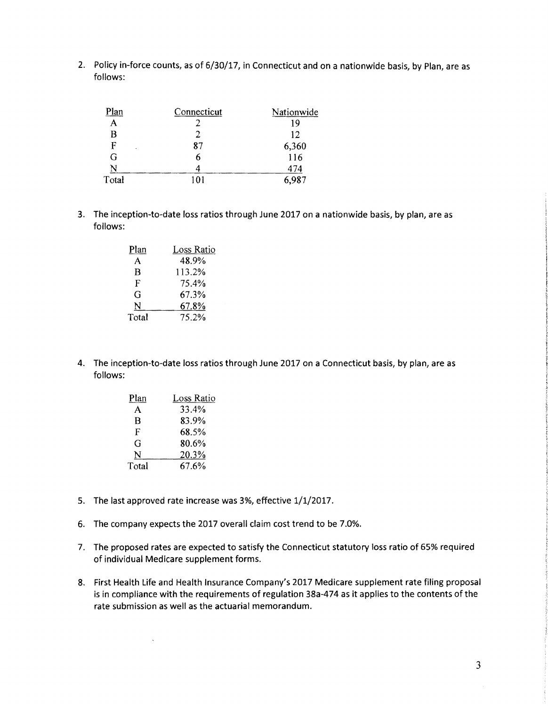2. Policy in-force counts, as of 6/30/17, in Connecticut and on a nationwide basis, by Plan, are as follows:

| яn     | Connecticut | Nationwide       |
|--------|-------------|------------------|
| A      |             | 19               |
| в      |             | 12               |
| F<br>٠ | 87          |                  |
| G      | n           | $6,360$<br>$116$ |
| N      |             | 474              |
| Total  | 101         | 6,987            |

3. The inception-to-date loss ratios through June 2017 on a nationwide basis, by plan, are as follows:

| Plan  | Loss Ratio |
|-------|------------|
| А     | 48.9%      |
| R     | 113.2%     |
| F     | 75.4%      |
| G     | 67.3%      |
| N     | 67.8%      |
| Total | 75.2%      |

4. The inception-to-date loss ratios through June 2017 on a Connecticut basis, by plan, are as follows:

| Plan  | Loss Ratio |
|-------|------------|
| А     | 33.4%      |
| B     | 83.9%      |
| F     | 68.5%      |
| G     | 80.6%      |
| N     | 20.3%      |
| Total | 67.6%      |

 $\bar{\zeta}$ 

- 5. The last approved rate increase was 3%, effective 1/1/2017.
- 6. The company expects the 2017 overall claim cost trend to be 7.0%.
- 7. The proposed rates are expected to satisfy the Connecticut statutory loss ratio of 65% required of individual Medicare supplement forms.
- 8. First Health Life and Health Insurance Company's 2017 Medicare supplement rate filing proposal is in compliance with the requirements of regulation 38a-474 as it applies to the contents of the rate submission as well as the actuarial memorandum.